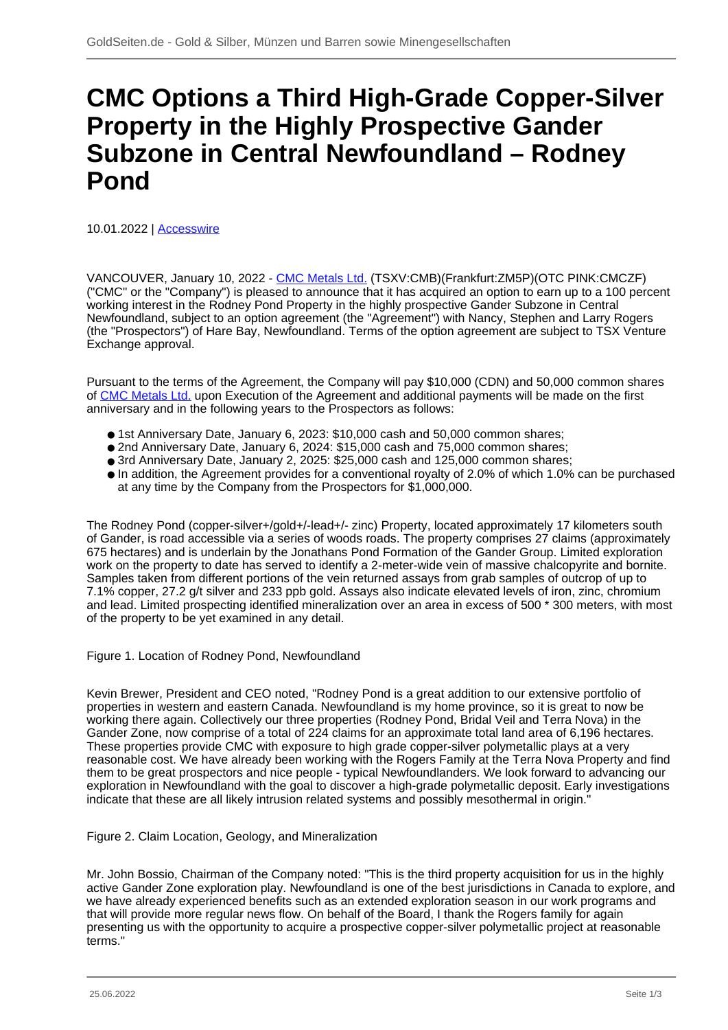## **CMC Options a Third High-Grade Copper-Silver Property in the Highly Prospective Gander Subzone in Central Newfoundland – Rodney Pond**

10.01.2022 | [Accesswire](/profil/272--Accesswire)

VANCOUVER, January 10, 2022 - [CMC Metals Ltd.](/minen/3044--CMC-Metals-Ltd) (TSXV:CMB)(Frankfurt:ZM5P)(OTC PINK:CMCZF) ("CMC" or the "Company") is pleased to announce that it has acquired an option to earn up to a 100 percent working interest in the Rodney Pond Property in the highly prospective Gander Subzone in Central Newfoundland, subject to an option agreement (the "Agreement") with Nancy, Stephen and Larry Rogers (the "Prospectors") of Hare Bay, Newfoundland. Terms of the option agreement are subject to TSX Venture Exchange approval.

Pursuant to the terms of the Agreement, the Company will pay \$10,000 (CDN) and 50,000 common shares of [CMC Metals Ltd.](/minen/3044--CMC-Metals-Ltd) upon Execution of the Agreement and additional payments will be made on the first anniversary and in the following years to the Prospectors as follows:

- 1st Anniversary Date, January 6, 2023: \$10,000 cash and 50,000 common shares;
- 2nd Anniversary Date, January 6, 2024: \$15,000 cash and 75,000 common shares;
- 3rd Anniversary Date, January 2, 2025: \$25,000 cash and 125,000 common shares;
- In addition, the Agreement provides for a conventional royalty of 2.0% of which 1.0% can be purchased at any time by the Company from the Prospectors for \$1,000,000.

The Rodney Pond (copper-silver+/gold+/-lead+/- zinc) Property, located approximately 17 kilometers south of Gander, is road accessible via a series of woods roads. The property comprises 27 claims (approximately 675 hectares) and is underlain by the Jonathans Pond Formation of the Gander Group. Limited exploration work on the property to date has served to identify a 2-meter-wide vein of massive chalcopyrite and bornite. Samples taken from different portions of the vein returned assays from grab samples of outcrop of up to 7.1% copper, 27.2 g/t silver and 233 ppb gold. Assays also indicate elevated levels of iron, zinc, chromium and lead. Limited prospecting identified mineralization over an area in excess of 500 \* 300 meters, with most of the property to be yet examined in any detail.

Figure 1. Location of Rodney Pond, Newfoundland

Kevin Brewer, President and CEO noted, "Rodney Pond is a great addition to our extensive portfolio of properties in western and eastern Canada. Newfoundland is my home province, so it is great to now be working there again. Collectively our three properties (Rodney Pond, Bridal Veil and Terra Nova) in the Gander Zone, now comprise of a total of 224 claims for an approximate total land area of 6,196 hectares. These properties provide CMC with exposure to high grade copper-silver polymetallic plays at a very reasonable cost. We have already been working with the Rogers Family at the Terra Nova Property and find them to be great prospectors and nice people - typical Newfoundlanders. We look forward to advancing our exploration in Newfoundland with the goal to discover a high-grade polymetallic deposit. Early investigations indicate that these are all likely intrusion related systems and possibly mesothermal in origin."

Figure 2. Claim Location, Geology, and Mineralization

Mr. John Bossio, Chairman of the Company noted: "This is the third property acquisition for us in the highly active Gander Zone exploration play. Newfoundland is one of the best jurisdictions in Canada to explore, and we have already experienced benefits such as an extended exploration season in our work programs and that will provide more regular news flow. On behalf of the Board, I thank the Rogers family for again presenting us with the opportunity to acquire a prospective copper-silver polymetallic project at reasonable terms."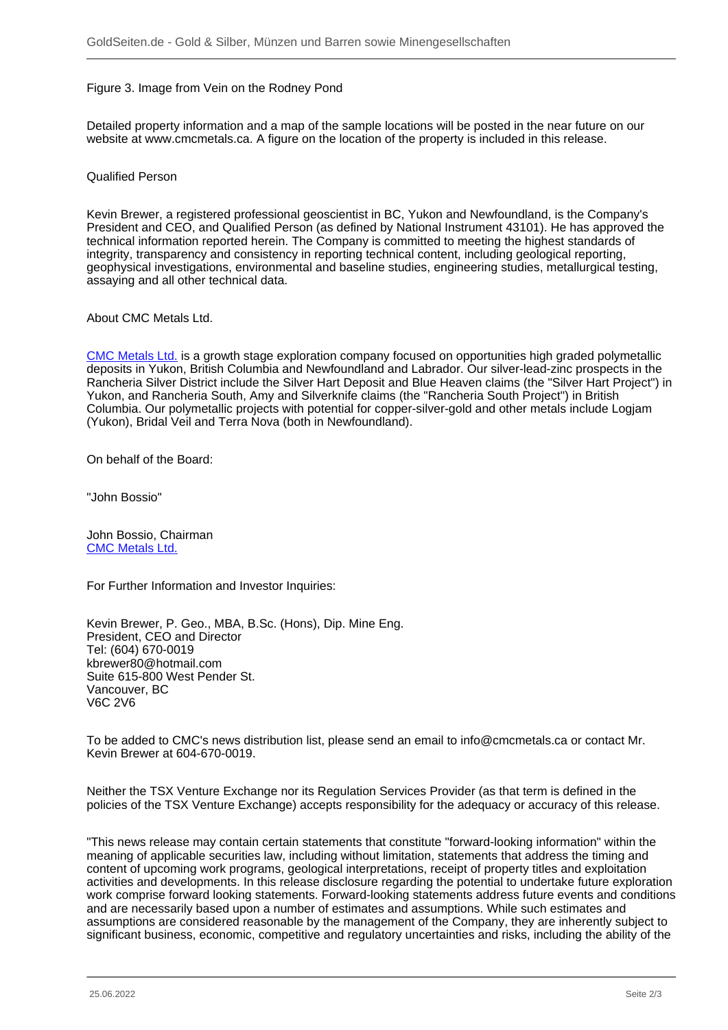## Figure 3. Image from Vein on the Rodney Pond

Detailed property information and a map of the sample locations will be posted in the near future on our website at www.cmcmetals.ca. A figure on the location of the property is included in this release.

## Qualified Person

Kevin Brewer, a registered professional geoscientist in BC, Yukon and Newfoundland, is the Company's President and CEO, and Qualified Person (as defined by National Instrument 43101). He has approved the technical information reported herein. The Company is committed to meeting the highest standards of integrity, transparency and consistency in reporting technical content, including geological reporting, geophysical investigations, environmental and baseline studies, engineering studies, metallurgical testing, assaying and all other technical data.

About CMC Metals Ltd.

[CMC Metals Ltd.](/minen/3044--CMC-Metals-Ltd) is a growth stage exploration company focused on opportunities high graded polymetallic deposits in Yukon, British Columbia and Newfoundland and Labrador. Our silver-lead-zinc prospects in the Rancheria Silver District include the Silver Hart Deposit and Blue Heaven claims (the "Silver Hart Project") in Yukon, and Rancheria South, Amy and Silverknife claims (the "Rancheria South Project") in British Columbia. Our polymetallic projects with potential for copper-silver-gold and other metals include Logjam (Yukon), Bridal Veil and Terra Nova (both in Newfoundland).

On behalf of the Board:

"John Bossio"

John Bossio, Chairman [CMC Metals Ltd.](/minen/3044--CMC-Metals-Ltd)

For Further Information and Investor Inquiries:

Kevin Brewer, P. Geo., MBA, B.Sc. (Hons), Dip. Mine Eng. President, CEO and Director Tel: (604) 670-0019 kbrewer80@hotmail.com Suite 615-800 West Pender St. Vancouver, BC V6C 2V6

To be added to CMC's news distribution list, please send an email to info@cmcmetals.ca or contact Mr. Kevin Brewer at 604-670-0019.

Neither the TSX Venture Exchange nor its Regulation Services Provider (as that term is defined in the policies of the TSX Venture Exchange) accepts responsibility for the adequacy or accuracy of this release.

"This news release may contain certain statements that constitute "forward-looking information" within the meaning of applicable securities law, including without limitation, statements that address the timing and content of upcoming work programs, geological interpretations, receipt of property titles and exploitation activities and developments. In this release disclosure regarding the potential to undertake future exploration work comprise forward looking statements. Forward-looking statements address future events and conditions and are necessarily based upon a number of estimates and assumptions. While such estimates and assumptions are considered reasonable by the management of the Company, they are inherently subject to significant business, economic, competitive and regulatory uncertainties and risks, including the ability of the